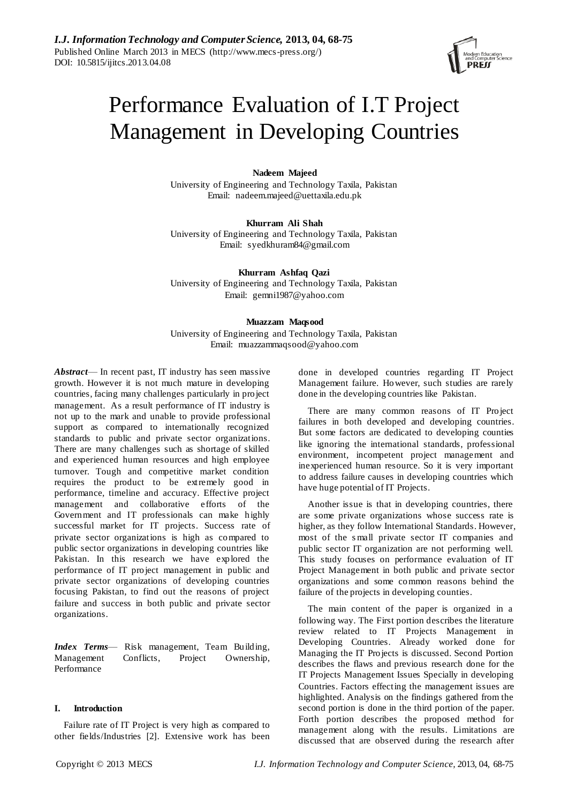

# Performance Evaluation of I.T Project Management in Developing Countries

# **Nadeem Majeed**

University of Engineering and Technology Taxila, Pakistan Email: [nadeem.majeed@uettaxila.edu.pk](mailto:nadeem.majeed@uettaxila.edu.pk)

**Khurram Ali Shah** University of Engineering and Technology Taxila, Pakistan Email: [syedkhuram84@gmail.com](mailto:syedkhuram84@gmail.com) 

**Khurram Ashfaq Qazi** University of Engineering and Technology Taxila, Pakistan Email: gemni1987@yahoo.com

## **Muazzam Maqsood**

University of Engineering and Technology Taxila, Pakistan Email: [muazzammaqsood@yahoo.com](mailto:muazzammaqsood@yahoo.com)

*Abstract*— In recent past, IT industry has seen massive growth. However it is not much mature in developing countries, facing many challenges particularly in project management. As a result performance of IT industry is not up to the mark and unable to provide professional support as compared to internationally recognized standards to public and private sector organizations. There are many challenges such as shortage of skilled and experienced human resources and high employee turnover. Tough and competitive market condition requires the product to be extremely good in performance, timeline and accuracy. Effective project management and collaborative efforts of the Government and IT professionals can make highly successful market for IT projects. Success rate of private sector organizations is high as compared to public sector organizations in developing countries like Pakistan. In this research we have explored the performance of IT project management in public and private sector organizations of developing countries focusing Pakistan, to find out the reasons of project failure and success in both public and private sector organizations.

*Index Terms*— Risk management, Team Building, Management Conflicts, Project Ownership, Performance

# **I. Introduction**

Failure rate of IT Project is very high as compared to other fields/Industries [2]. Extensive work has been

done in developed countries regarding IT Project Management failure. However, such studies are rarely done in the developing countries like Pakistan.

There are many common reasons of IT Project failures in both developed and developing countries. But some factors are dedicated to developing counties like ignoring the international standards, professional environment, incompetent project management and inexperienced human resource. So it is very important to address failure causes in developing countries which have huge potential of IT Projects.

Another issue is that in developing countries, there are some private organizations whose success rate is higher, as they follow International Standards. However, most of the s mall private sector IT companies and public sector IT organization are not performing well. This study focuses on performance evaluation of IT Project Management in both public and private sector organizations and some common reasons behind the failure of the projects in developing counties.

The main content of the paper is organized in a following way. The First portion describes the literature review related to IT Projects Management in Developing Countries. Already worked done for Managing the IT Projects is discussed. Second Portion describes the flaws and previous research done for the IT Projects Management Issues Specially in developing Countries. Factors effecting the management issues are highlighted. Analysis on the findings gathered from the second portion is done in the third portion of the paper. Forth portion describes the proposed method for management along with the results. Limitations are discussed that are observed during the research after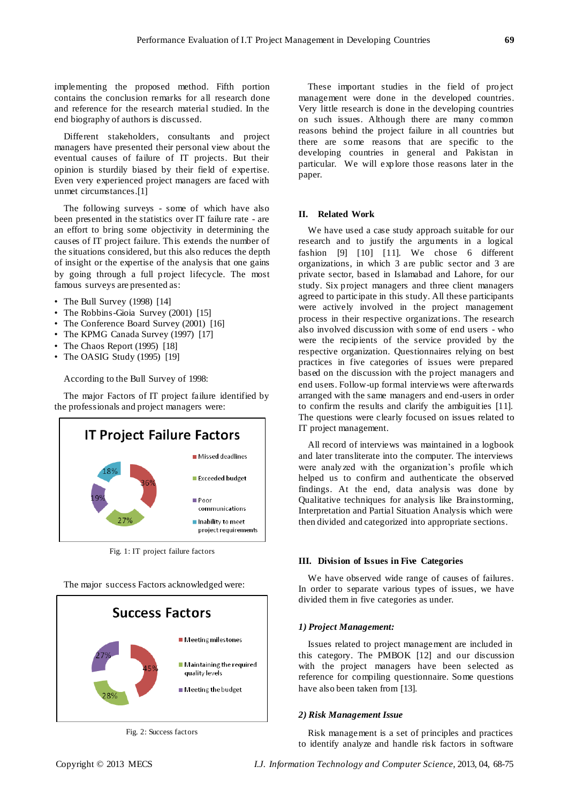implementing the proposed method. Fifth portion contains the conclusion remarks for all research done and reference for the research material studied. In the end biography of authors is discussed.

Different stakeholders, consultants and project managers have presented their personal view about the eventual causes of failure of IT projects. But their opinion is sturdily biased by their field of expertise. Even very experienced project managers are faced with unmet circumstances.[1]

The following surveys - some of which have also been presented in the statistics over IT failure rate - are an effort to bring some objectivity in determining the causes of IT project failure. This extends the number of the situations considered, but this also reduces the depth of insight or the expertise of the analysis that one gains by going through a full project lifecycle. The most famous surveys are presented as:

- The Bull Survey (1998) [14]
- The Robbins-Gioia Survey (2001) [15]
- The Conference Board Survey (2001) [16]
- The KPMG Canada Survey (1997) [17]
- The Chaos Report (1995) [18]
- The OASIG Study (1995) [19]

According to the Bull Survey of 1998:

The major Factors of IT project failure identified by the professionals and project managers were:



Fig. 1: IT project failure factors

The major success Factors acknowledged were:



Fig. 2: Success factors

These important studies in the field of project management were done in the developed countries. Very little research is done in the developing countries on such issues. Although there are many common reasons behind the project failure in all countries but there are some reasons that are specific to the developing countries in general and Pakistan in particular. We will explore those reasons later in the paper.

## **II. Related Work**

We have used a case study approach suitable for our research and to justify the arguments in a logical fashion [9] [10] [11]. We chose 6 different organizations, in which 3 are public sector and 3 are private sector, based in Islamabad and Lahore, for our study. Six project managers and three client managers agreed to participate in this study. All these participants were actively involved in the project management process in their respective organizations. The research also involved discussion with some of end users - who were the recipients of the service provided by the respective organization. Questionnaires relying on best practices in five categories of issues were prepared based on the discussion with the project managers and end users. Follow-up formal interviews were afterwards arranged with the same managers and end-users in order to confirm the results and clarify the ambiguities [11]. The questions were clearly focused on issues related to IT project management.

All record of interviews was maintained in a logbook and later transliterate into the computer. The interviews were analyzed with the organization's profile which helped us to confirm and authenticate the observed findings. At the end, data analysis was done by Qualitative techniques for analysis like Brainstorming, Interpretation and Partial Situation Analysis which were then divided and categorized into appropriate sections.

### **III. Division of Issues in Five Categories**

We have observed wide range of causes of failures. In order to separate various types of issues, we have divided them in five categories as under.

## *1) Project Management:*

Issues related to project management are included in this category. The PMBOK [12] and our discussion with the project managers have been selected as reference for compiling questionnaire. Some questions have also been taken from [13].

#### *2) Risk Management Issue*

Risk management is a set of principles and practices to identify analyze and handle risk factors in software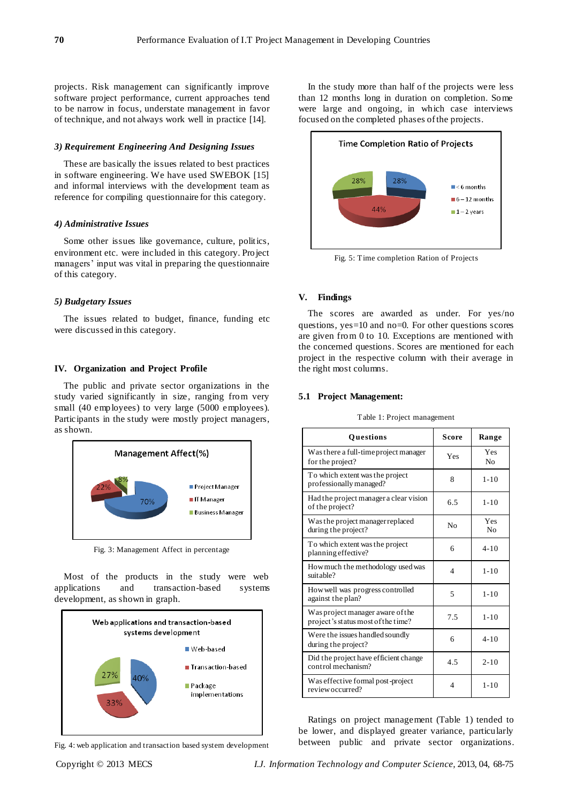projects. Risk management can significantly improve software project performance, current approaches tend to be narrow in focus, understate management in favor of technique, and not always work well in practice [14].

## *3) Requirement Engineering And Designing Issues*

These are basically the issues related to best practices in software engineering. We have used SWEBOK [15] and informal interviews with the development team as reference for compiling questionnaire for this category.

## *4) Administrative Issues*

Some other issues like governance, culture, politics, environment etc. were included in this category. Project managers' input was vital in preparing the questionnaire of this category.

## *5) Budgetary Issues*

The issues related to budget, finance, funding etc were discussed in this category.

#### **IV. Organization and Project Profile**

The public and private sector organizations in the study varied significantly in size, ranging from very small (40 employees) to very large (5000 employees). Participants in the study were mostly project managers, as shown.



Fig. 3: Management Affect in percentage

Most of the products in the study were web applications and transaction-based systems development, as shown in graph.



Fig. 4: web application and transaction based system development

In the study more than half of the projects were less than 12 months long in duration on completion. Some were large and ongoing, in which case interviews focused on the completed phases of the projects.



Fig. 5: Time completion Ration of Projects

#### **V. Findings**

The scores are awarded as under. For yes/no questions, yes=10 and no=0. For other questions scores are given from 0 to 10. Exceptions are mentioned with the concerned questions. Scores are mentioned for each project in the respective column with their average in the right most columns.

## **5.1 Project Management:**

| <b>Ouestions</b>                                                       | Score                    | Range                 |
|------------------------------------------------------------------------|--------------------------|-----------------------|
| Was there a full-time project manager<br>for the project?              | Yes                      | Yes<br>N <sub>o</sub> |
| To which extent was the project<br>professionally managed?             | 8                        | $1 - 10$              |
| Had the project manager a clear vision<br>of the project?              | 6.5                      | $1 - 10$              |
| Was the project manager replaced<br>during the project?                | N <sub>0</sub>           | Yes<br>N <sub>0</sub> |
| To which extent was the project<br>planning effective?                 | 6                        | $4 - 10$              |
| How much the methodology used was<br>suitable?                         | $\overline{4}$           | $1 - 10$              |
| How well was progress controlled<br>against the plan?                  | 5                        | $1 - 10$              |
| Was project manager aware of the<br>project's status most of the time? | 7.5                      | $1 - 10$              |
| Were the issues handled soundly<br>during the project?                 | 6                        | $4 - 10$              |
| Did the project have efficient change<br>control mechanism?            | 4.5                      | $2 - 10$              |
| Was effective formal post-project<br>review occurred?                  | $\overline{\mathcal{A}}$ | $1 - 10$              |

Table 1: Project management

Ratings on project management (Table 1) tended to be lower, and displayed greater variance, particularly between public and private sector organizations.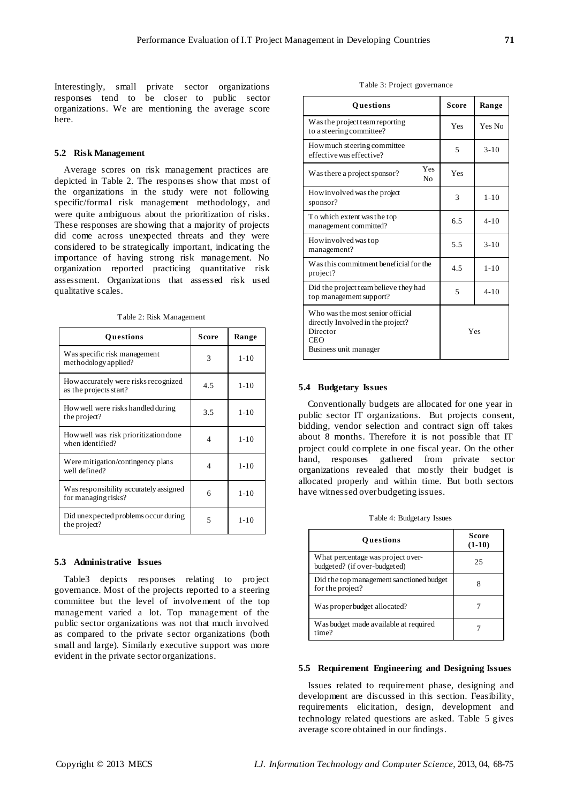Interestingly, small private sector organizations responses tend to be closer to public sector organizations. We are mentioning the average score here.

#### **5.2 Risk Management**

Average scores on risk management practices are depicted in Table 2. The responses show that most of the organizations in the study were not following specific/formal risk management methodology, and were quite ambiguous about the prioritization of risks. These responses are showing that a majority of projects did come across unexpected threats and they were considered to be strategically important, indicating the importance of having strong risk management. No organization reported practicing quantitative risk assessment. Organizations that assessed risk used qualitative scales.

Table 2: Risk Management

| <b>Ouestions</b>                                               | Score | Range    |
|----------------------------------------------------------------|-------|----------|
| Was specific risk management<br>methodology applied?           | 3     | $1 - 10$ |
| How accurately were risks recognized<br>as the projects start? | 4.5   | $1 - 10$ |
| How well were risks handled during<br>the project?             | 3.5   | $1 - 10$ |
| How well was risk prioritization done<br>when identified?      | 4     | $1 - 10$ |
| Were mitigation/contingency plans<br>well defined?             | 4     | $1 - 10$ |
| Was responsibility accurately assigned<br>for managing risks?  | 6     | $1 - 10$ |
| Did unexpected problems occur during<br>the project?           | 5     | $1 - 10$ |

#### **5.3 Administrative Issues**

Table3 depicts responses relating to project governance. Most of the projects reported to a steering committee but the level of involvement of the top management varied a lot. Top management of the public sector organizations was not that much involved as compared to the private sector organizations (both small and large). Similarly executive support was more evident in the private sector organizations.

| Table 3: Project governance |  |
|-----------------------------|--|
|-----------------------------|--|

| Questions                                                                                                                | Score | Range    |
|--------------------------------------------------------------------------------------------------------------------------|-------|----------|
| Was the project team reporting<br>to a steering committee?                                                               | Yes   | Yes No   |
| How much steering committee<br>effective was effective?                                                                  | 5     | $3 - 10$ |
| Yes<br>Was there a project sponsor?<br>No                                                                                | Yes   |          |
| How involved was the project<br>sponsor?                                                                                 | 3     | $1 - 10$ |
| To which extent was the top<br>management committed?                                                                     | 6.5   | $4 - 10$ |
| How involved was top<br>management?                                                                                      | 5.5   | $3 - 10$ |
| Was this commitment beneficial for the<br>project?                                                                       | 4.5   | $1 - 10$ |
| Did the project team believe they had<br>top management support?                                                         | 5     | $4 - 10$ |
| Who was the most senior official<br>directly Involved in the project?<br>Director<br><b>CEO</b><br>Business unit manager | Yes   |          |

#### **5.4 Budgetary Issues**

Conventionally budgets are allocated for one year in public sector IT organizations. But projects consent, bidding, vendor selection and contract sign off takes about 8 months. Therefore it is not possible that IT project could complete in one fiscal year. On the other hand, responses gathered from private sector organizations revealed that mostly their budget is allocated properly and within time. But both sectors have witnessed over budgeting issues.

Table 4: Budgetary Issues

| <b>Ouestions</b>                                                  | Score<br>$(1-10)$ |
|-------------------------------------------------------------------|-------------------|
| What percentage was project over-<br>budgeted? (if over-budgeted) | 25                |
| Did the top management sanctioned budget<br>for the project?      |                   |
| Was proper budget allocated?                                      |                   |
| Was budget made available at required<br>time?                    |                   |

## **5.5 Requirement Engineering and Designing Issues**

Issues related to requirement phase, designing and development are discussed in this section. Feasibility, requirements elicitation, design, development and technology related questions are asked. Table 5 gives average score obtained in our findings.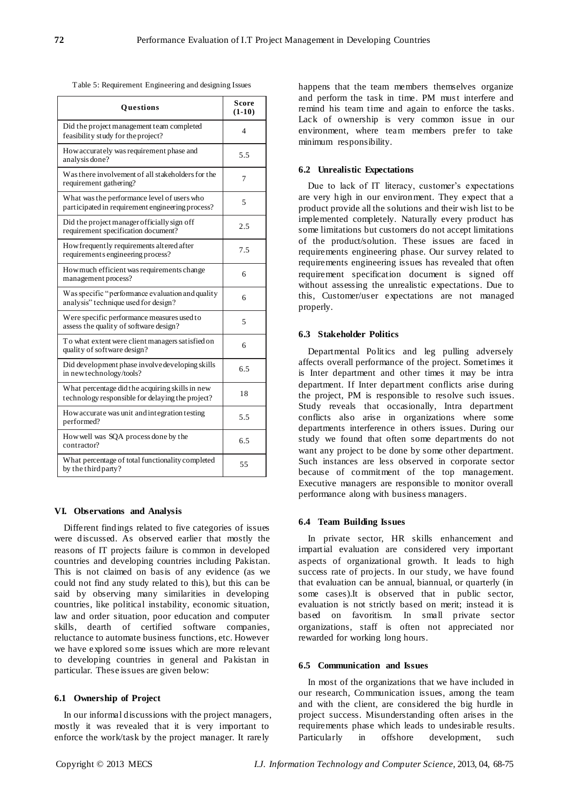Table 5: Requirement Engineering and designing Issues

| Questions                                                                                           | Score<br>$(1-10)$ |
|-----------------------------------------------------------------------------------------------------|-------------------|
| Did the project management team completed<br>feasibility study for the project?                     | 4                 |
| How accurately was requirement phase and<br>analysis done?                                          | 5.5               |
| Was there involvement of all stakeholders for the<br>requirement gathering?                         | 7                 |
| What was the performance level of users who<br>participated in requirement engineering process?     | 5                 |
| Did the project manager officially sign off<br>requirement specification document?                  | 2.5               |
| How frequently requirements altered after<br>requirements engineering process?                      | 7.5               |
| How much efficient was requirements change<br>management process?                                   | 6                 |
| Was specific "performance evaluation and quality<br>analysis" technique used for design?            | 6                 |
| Were specific performance measures used to<br>assess the quality of software design?                | 5                 |
| To what extent were client managers satisfied on<br>quality of software design?                     | 6                 |
| Did development phase involve developing skills<br>in new technology/tools?                         | 6.5               |
| What percentage did the acquiring skills in new<br>technology responsible for delaying the project? | 18                |
| How accurate was unit and integration testing<br>performed?                                         | 5.5               |
| How well was SQA process done by the<br>contractor?                                                 | 6.5               |
| What percentage of total functionality completed<br>by the third party?                             | 55                |

#### **VI. Observations and Analysis**

Different findings related to five categories of issues were discussed. As observed earlier that mostly the reasons of IT projects failure is common in developed countries and developing countries including Pakistan. This is not claimed on basis of any evidence (as we could not find any study related to this), but this can be said by observing many similarities in developing countries, like political instability, economic situation, law and order situation, poor education and computer skills, dearth of certified software companies, reluctance to automate business functions, etc. However we have explored some issues which are more relevant to developing countries in general and Pakistan in particular. These issues are given below:

## **6.1 Ownership of Project**

In our informal discussions with the project managers, mostly it was revealed that it is very important to enforce the work/task by the project manager. It rarely

happens that the team members themselves organize and perform the task in time. PM must interfere and remind his team time and again to enforce the tasks. Lack of ownership is very common issue in our environment, where team members prefer to take minimum responsibility.

## **6.2 Unrealistic Expectations**

Due to lack of IT literacy, customer's expectations are very high in our environment. They expect that a product provide all the solutions and their wish list to be implemented completely. Naturally every product has some limitations but customers do not accept limitations of the product/solution. These issues are faced in requirements engineering phase. Our survey related to requirements engineering issues has revealed that often requirement specification document is signed off without assessing the unrealistic expectations. Due to this, Customer/user expectations are not managed properly.

#### **6.3 Stakeholder Politics**

Departmental Politics and leg pulling adversely affects overall performance of the project. Sometimes it is Inter department and other times it may be intra department. If Inter department conflicts arise during the project, PM is responsible to resolve such issues. Study reveals that occasionally, Intra department conflicts also arise in organizations where some departments interference in others issues. During our study we found that often some departments do not want any project to be done by some other department. Such instances are less observed in corporate sector because of commitment of the top management. Executive managers are responsible to monitor overall performance along with business managers.

#### **6.4 Team Building Issues**

In private sector, HR skills enhancement and impartial evaluation are considered very important aspects of organizational growth. It leads to high success rate of projects. In our study, we have found that evaluation can be annual, biannual, or quarterly (in some cases).It is observed that in public sector, evaluation is not strictly based on merit; instead it is based on favoritism. In small private sector organizations, staff is often not appreciated nor rewarded for working long hours.

# **6.5 Communication and Issues**

In most of the organizations that we have included in our research, Communication issues, among the team and with the client, are considered the big hurdle in project success. Misunderstanding often arises in the requirements phase which leads to undesirable results. Particularly in offshore development, such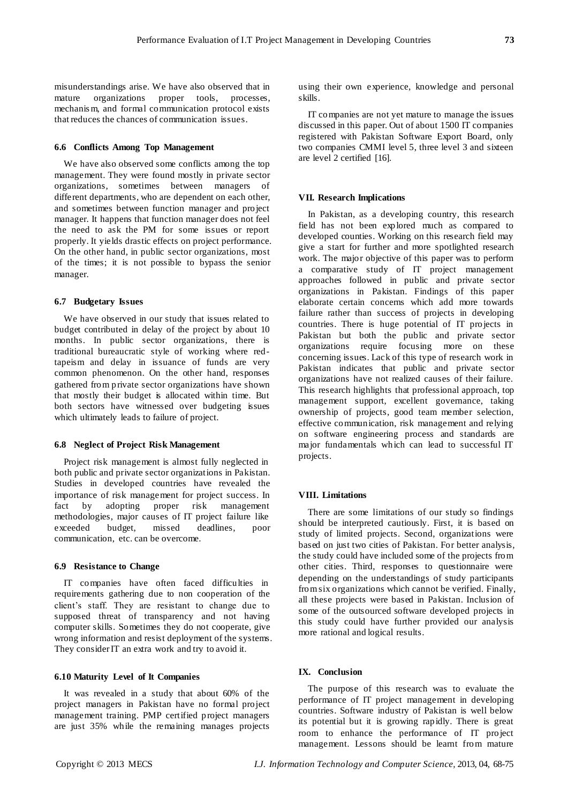misunderstandings arise. We have also observed that in mature organizations proper tools, processes, mechanis m, and formal communication protocol exists that reduces the chances of communication issues.

## **6.6 Conflicts Among Top Management**

We have also observed some conflicts among the top management. They were found mostly in private sector organizations, sometimes between managers of different departments, who are dependent on each other, and sometimes between function manager and project manager. It happens that function manager does not feel the need to ask the PM for some issues or report properly. It yields drastic effects on project performance. On the other hand, in public sector organizations, most of the times; it is not possible to bypass the senior manager.

## **6.7 Budgetary Issues**

We have observed in our study that issues related to budget contributed in delay of the project by about 10 months. In public sector organizations, there is traditional bureaucratic style of working where redtapeism and delay in issuance of funds are very common phenomenon. On the other hand, responses gathered from private sector organizations have shown that mostly their budget is allocated within time. But both sectors have witnessed over budgeting issues which ultimately leads to failure of project.

# **6.8 Neglect of Project Risk Management**

Project risk management is almost fully neglected in both public and private sector organizations in Pakistan. Studies in developed countries have revealed the importance of risk management for project success. In fact by adopting proper risk management methodologies, major causes of IT project failure like exceeded budget, missed deadlines, poor communication, etc. can be overcome.

# **6.9 Resistance to Change**

IT companies have often faced difficulties in requirements gathering due to non cooperation of the client's staff. They are resistant to change due to supposed threat of transparency and not having computer skills. Sometimes they do not cooperate, give wrong information and resist deployment of the systems. They consider IT an extra work and try to avoid it.

## **6.10 Maturity Level of It Companies**

It was revealed in a study that about 60% of the project managers in Pakistan have no formal project management training. PMP certified project managers are just 35% while the remaining manages projects using their own experience, knowledge and personal skills.

IT companies are not yet mature to manage the issues discussed in this paper. Out of about 1500 IT companies registered with Pakistan Software Export Board, only two companies CMMI level 5, three level 3 and sixteen are level 2 certified [16].

### **VII. Research Implications**

In Pakistan, as a developing country, this research field has not been explored much as compared to developed counties. Working on this research field may give a start for further and more spotlighted research work. The major objective of this paper was to perform a comparative study of IT project management approaches followed in public and private sector organizations in Pakistan. Findings of this paper elaborate certain concerns which add more towards failure rather than success of projects in developing countries. There is huge potential of IT projects in Pakistan but both the public and private sector organizations require focusing more on these concerning issues. Lack of this type of research work in Pakistan indicates that public and private sector organizations have not realized causes of their failure. This research highlights that professional approach, top management support, excellent governance, taking ownership of projects, good team member selection, effective communication, risk management and relying on software engineering process and standards are major fundamentals which can lead to successful IT projects.

#### **VIII. Limitations**

There are some limitations of our study so findings should be interpreted cautiously. First, it is based on study of limited projects. Second, organizations were based on just two cities of Pakistan. For better analysis, the study could have included some of the projects from other cities. Third, responses to questionnaire were depending on the understandings of study participants from six organizations which cannot be verified. Finally, all these projects were based in Pakistan. Inclusion of some of the outsourced software developed projects in this study could have further provided our analysis more rational and logical results.

## **IX. Conclusion**

The purpose of this research was to evaluate the performance of IT project management in developing countries. Software industry of Pakistan is well below its potential but it is growing rapidly. There is great room to enhance the performance of IT project management. Lessons should be learnt from mature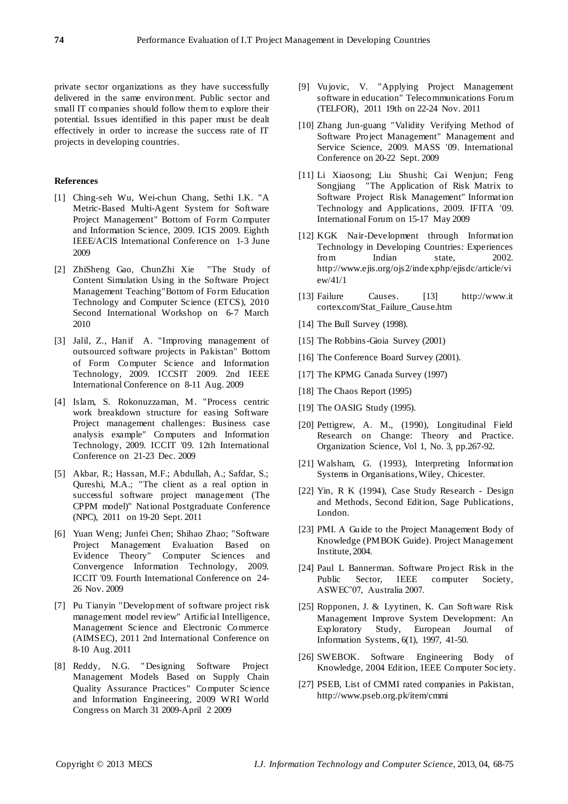private sector organizations as they have successfully delivered in the same environment. Public sector and small IT companies should follow them to explore their potential. Issues identified in this paper must be dealt effectively in order to increase the success rate of IT projects in developing countries.

# **References**

- [1] Ching-seh Wu, Wei-chun Chang, Sethi I.K. "A Metric-Based Multi-Agent System for Software Project Management" Bottom of Form [Computer](http://ieeexplore.ieee.org/xpl/mostRecentIssue.jsp?punumber=5222859)  [and Information Science, 2009. ICIS 2009. Eighth](http://ieeexplore.ieee.org/xpl/mostRecentIssue.jsp?punumber=5222859)  [IEEE/ACIS International Conference on](http://ieeexplore.ieee.org/xpl/mostRecentIssue.jsp?punumber=5222859) 1-3 June 2009
- [2] ZhiSheng Gao, ChunZhi Xie "The Study of Content Simulation Using in the Software Project Management Teaching"Bottom of Form [Education](http://ieeexplore.ieee.org/xpl/mostRecentIssue.jsp?punumber=5458392)  [Technology and Computer Science \(ETCS\), 2010](http://ieeexplore.ieee.org/xpl/mostRecentIssue.jsp?punumber=5458392)  [Second International Workshop on](http://ieeexplore.ieee.org/xpl/mostRecentIssue.jsp?punumber=5458392) 6-7 March 2010
- [3] Jalil, Z., Hanif A. "Improving management of outsourced software projects in Pakistan" Bottom of Form [Computer Science and Information](http://ieeexplore.ieee.org/xpl/mostRecentIssue.jsp?punumber=5227796)  [Technology, 2009. ICCSIT 2009. 2nd IEEE](http://ieeexplore.ieee.org/xpl/mostRecentIssue.jsp?punumber=5227796)  International [Conference on](http://ieeexplore.ieee.org/xpl/mostRecentIssue.jsp?punumber=5227796) 8-11 Aug. 2009
- [4] Islam, S. Rokonuzzaman, M. "Process centric work breakdown structure for easing Software Project management challenges: Business case analysis example" [Computers and Information](http://ieeexplore.ieee.org/xpl/mostRecentIssue.jsp?punumber=5398764)  [Technology, 2009. ICCIT '09. 12th International](http://ieeexplore.ieee.org/xpl/mostRecentIssue.jsp?punumber=5398764)  [Conference on](http://ieeexplore.ieee.org/xpl/mostRecentIssue.jsp?punumber=5398764) 21-23 Dec. 2009
- [5] Akbar, R.; Hassan, M.F.; Abdullah, A.; Safdar, S.; Qureshi, M.A.; "The client as a real option in successful software project management (The CPPM model)" [National Postgraduate Conference](http://ieeexplore.ieee.org/xpl/mostRecentIssue.jsp?punumber=6129460)  [\(NPC\), 2011](http://ieeexplore.ieee.org/xpl/mostRecentIssue.jsp?punumber=6129460) on 19-20 Sept. 2011
- [6] Yuan Weng; Junfei Chen; Shihao Zhao; "Software Project Management Evaluation Based on Evidence Theory" [Computer Sciences and](http://ieeexplore.ieee.org/xpl/mostRecentIssue.jsp?punumber=5367867)  [Convergence Information Technology, 2009.](http://ieeexplore.ieee.org/xpl/mostRecentIssue.jsp?punumber=5367867)  [ICCIT '09. Fourth International Conference on](http://ieeexplore.ieee.org/xpl/mostRecentIssue.jsp?punumber=5367867) 24- 26 Nov. 2009
- [7] Pu Tianyin "Development of software project risk management model review" [Artificial Intelligence,](http://ieeexplore.ieee.org/xpl/mostRecentIssue.jsp?punumber=5992814)  [Management Science and Electronic Commerce](http://ieeexplore.ieee.org/xpl/mostRecentIssue.jsp?punumber=5992814)  [\(AIMSEC\), 2011 2nd International Conference on](http://ieeexplore.ieee.org/xpl/mostRecentIssue.jsp?punumber=5992814) 8-10 Aug. 2011
- [8] Reddy, N.G. " Designing Software Project Management Models Based on Supply Chain Quality Assurance Practices" [Computer Science](http://ieeexplore.ieee.org/xpl/mostRecentIssue.jsp?punumber=5170260)  [and Information Engineering, 2009 WRI World](http://ieeexplore.ieee.org/xpl/mostRecentIssue.jsp?punumber=5170260)  [Congress on](http://ieeexplore.ieee.org/xpl/mostRecentIssue.jsp?punumber=5170260) March 31 2009-April 2 2009
- [9] Vujovic, V. "Applying Project Management software in education" [Telecommunications Forum](http://ieeexplore.ieee.org/xpl/mostRecentIssue.jsp?punumber=6130662)  [\(TELFOR\), 2011 19th](http://ieeexplore.ieee.org/xpl/mostRecentIssue.jsp?punumber=6130662) on 22-24 Nov. 2011
- [10] Zhang Jun-guang "Validity Verifying Method of Software Project Management" [Management and](http://ieeexplore.ieee.org/xpl/mostRecentIssue.jsp?punumber=5300802)  [Service Science, 2009. MASS '09. International](http://ieeexplore.ieee.org/xpl/mostRecentIssue.jsp?punumber=5300802)  [Conference on](http://ieeexplore.ieee.org/xpl/mostRecentIssue.jsp?punumber=5300802) 20-22 Sept. 2009
- [11] Li Xiaosong; Liu Shushi; Cai Wenjun; Feng Songjiang "The Application of Risk Matrix to Software Project Risk Management" [Information](http://ieeexplore.ieee.org/xpl/mostRecentIssue.jsp?punumber=5231181)  [Technology and Applications, 2009. IFITA '09.](http://ieeexplore.ieee.org/xpl/mostRecentIssue.jsp?punumber=5231181)  [International Forum on](http://ieeexplore.ieee.org/xpl/mostRecentIssue.jsp?punumber=5231181) 15-17 May 2009
- [12] KGK Nair-Development through Information Technology in Developing Countries: Experiences from Indian state, 2002. [http://www.ejis.org/ojs2/index.php/ejisdc/article/vi](http://www.ejis.org/ojs2/index.php/ejisdc/article/view/41/1) [ew/41/1](http://www.ejis.org/ojs2/index.php/ejisdc/article/view/41/1)
- [13] Failure Causes. [13] http://www.it cortex.com/Stat\_Failure\_Cause.htm
- [14] The Bull Survey (1998).
- [15] The Robbins-Gioia Survey (2001)
- [16] The Conference Board Survey (2001).
- [17] The KPMG Canada Survey (1997)
- [18] The Chaos Report (1995)
- [19] The OASIG Study (1995).
- [20] Pettigrew, A. M., (1990), Longitudinal Field Research on Change: Theory and Practice. Organization Science, Vol 1, No. 3, pp.267-92.
- [21] Walsham, G. (1993), Interpreting Information Systems in Organisations, Wiley, Chicester.
- [22] Yin, R K (1994), Case Study Research Design and Methods, Second Edition, Sage Publications, London.
- [23] PMI. A Guide to the Project Management Body of Knowledge (PMBOK Guide). Project Management Institute, 2004.
- [24] Paul L Bannerman. Software Project Risk in the Public Sector, IEEE computer Society, ASWEC'07, Australia 2007.
- [25] Ropponen, J. & Lyytinen, K. Can Software Risk Management Improve System Development: An Exploratory Study, European Journal of Information Systems, 6(1), 1997, 41-50.
- [26] SWEBOK. Software Engineering Body of Knowledge, 2004 Edition, IEEE Computer Society.
- [27] PSEB, List of CMMI rated companies in Pakistan, http://www.pseb.org.pk/item/cmmi